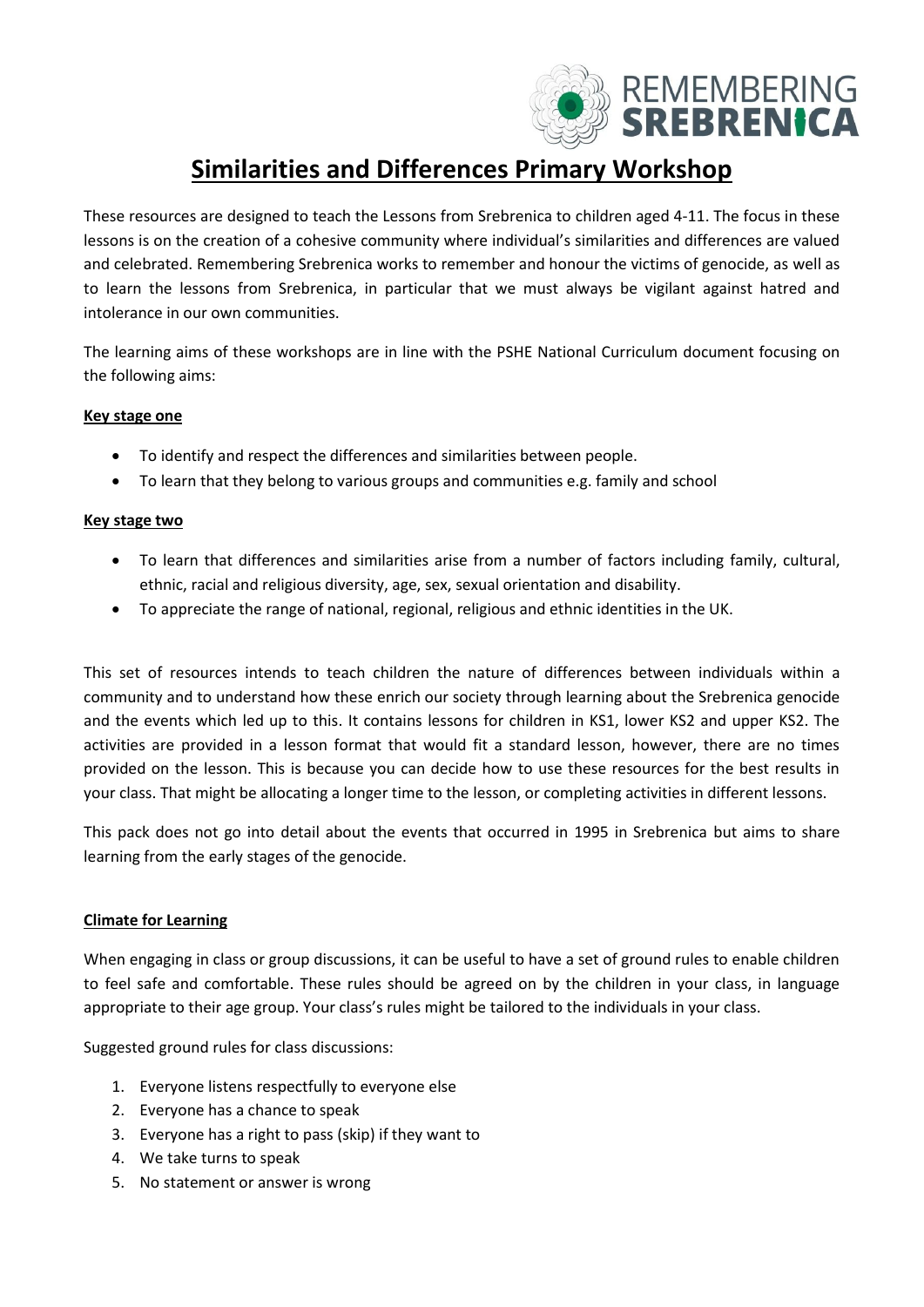

# **Similarities and Differences Primary Workshop**

These resources are designed to teach the Lessons from Srebrenica to children aged 4-11. The focus in these lessons is on the creation of a cohesive community where individual's similarities and differences are valued and celebrated. Remembering Srebrenica works to remember and honour the victims of genocide, as well as to learn the lessons from Srebrenica, in particular that we must always be vigilant against hatred and intolerance in our own communities.

The learning aims of these workshops are in line with the PSHE National Curriculum document focusing on the following aims:

#### **Key stage one**

- To identify and respect the differences and similarities between people.
- To learn that they belong to various groups and communities e.g. family and school

#### **Key stage two**

- To learn that differences and similarities arise from a number of factors including family, cultural, ethnic, racial and religious diversity, age, sex, sexual orientation and disability.
- To appreciate the range of national, regional, religious and ethnic identities in the UK.

This set of resources intends to teach children the nature of differences between individuals within a community and to understand how these enrich our society through learning about the Srebrenica genocide and the events which led up to this. It contains lessons for children in KS1, lower KS2 and upper KS2. The activities are provided in a lesson format that would fit a standard lesson, however, there are no times provided on the lesson. This is because you can decide how to use these resources for the best results in your class. That might be allocating a longer time to the lesson, or completing activities in different lessons.

This pack does not go into detail about the events that occurred in 1995 in Srebrenica but aims to share learning from the early stages of the genocide.

#### **Climate for Learning**

When engaging in class or group discussions, it can be useful to have a set of ground rules to enable children to feel safe and comfortable. These rules should be agreed on by the children in your class, in language appropriate to their age group. Your class's rules might be tailored to the individuals in your class.

Suggested ground rules for class discussions:

- 1. Everyone listens respectfully to everyone else
- 2. Everyone has a chance to speak
- 3. Everyone has a right to pass (skip) if they want to
- 4. We take turns to speak
- 5. No statement or answer is wrong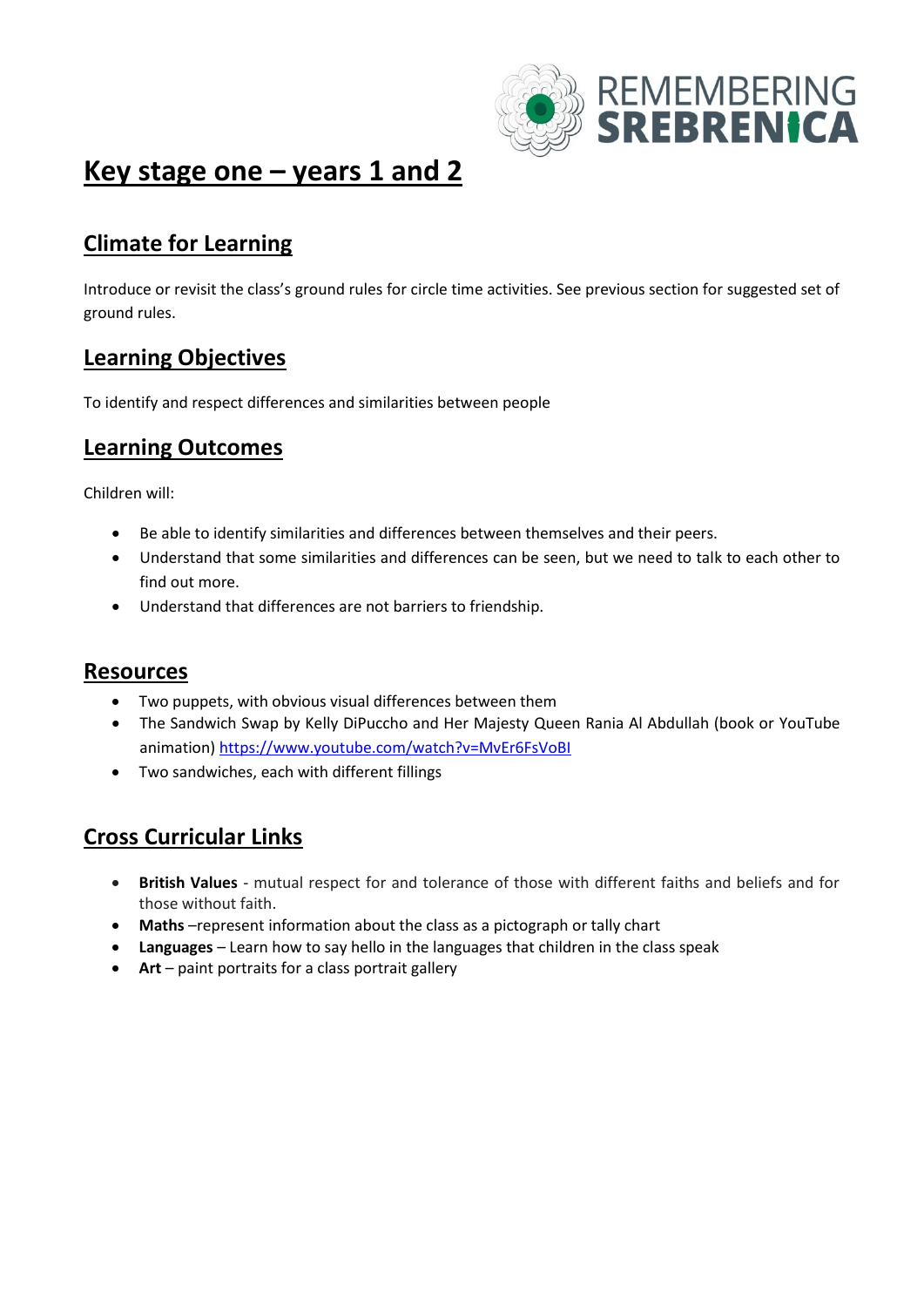

# **Key stage one – years 1 and 2**

## **Climate for Learning**

Introduce or revisit the class's ground rules for circle time activities. See previous section for suggested set of ground rules.

#### **Learning Objectives**

To identify and respect differences and similarities between people

#### **Learning Outcomes**

Children will:

- Be able to identify similarities and differences between themselves and their peers.
- Understand that some similarities and differences can be seen, but we need to talk to each other to find out more.
- Understand that differences are not barriers to friendship.

#### **Resources**

- Two puppets, with obvious visual differences between them
- The Sandwich Swap by Kelly DiPuccho and Her Majesty Queen Rania Al Abdullah (book or YouTube animation) <https://www.youtube.com/watch?v=MvEr6FsVoBI>
- Two sandwiches, each with different fillings

### **Cross Curricular Links**

- **British Values** mutual respect for and tolerance of those with different faiths and beliefs and for those without faith.
- **Maths** –represent information about the class as a pictograph or tally chart
- **Languages** Learn how to say hello in the languages that children in the class speak
- **Art** paint portraits for a class portrait gallery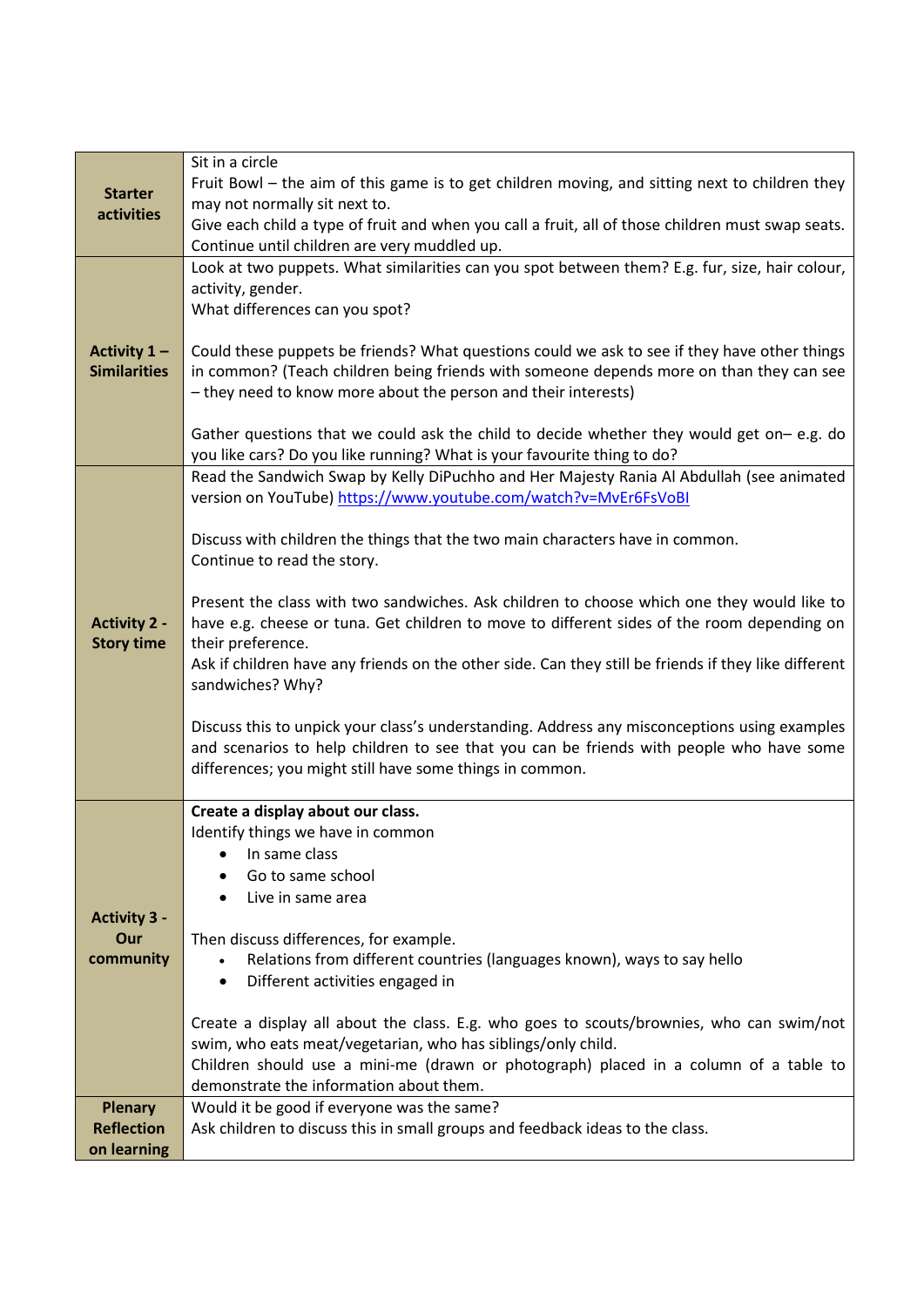|                                          | Sit in a circle                                                                                                             |
|------------------------------------------|-----------------------------------------------------------------------------------------------------------------------------|
| <b>Starter</b>                           | Fruit Bowl - the aim of this game is to get children moving, and sitting next to children they                              |
| activities                               | may not normally sit next to.                                                                                               |
|                                          | Give each child a type of fruit and when you call a fruit, all of those children must swap seats.                           |
|                                          | Continue until children are very muddled up.                                                                                |
|                                          | Look at two puppets. What similarities can you spot between them? E.g. fur, size, hair colour,                              |
|                                          | activity, gender.                                                                                                           |
|                                          | What differences can you spot?                                                                                              |
|                                          |                                                                                                                             |
| Activity 1 -                             | Could these puppets be friends? What questions could we ask to see if they have other things                                |
| <b>Similarities</b>                      | in common? (Teach children being friends with someone depends more on than they can see                                     |
|                                          | - they need to know more about the person and their interests)                                                              |
|                                          | Gather questions that we could ask the child to decide whether they would get on- e.g. do                                   |
|                                          | you like cars? Do you like running? What is your favourite thing to do?                                                     |
|                                          | Read the Sandwich Swap by Kelly DiPuchho and Her Majesty Rania Al Abdullah (see animated                                    |
|                                          | version on YouTube) https://www.youtube.com/watch?v=MvEr6FsVoBI                                                             |
|                                          |                                                                                                                             |
|                                          | Discuss with children the things that the two main characters have in common.                                               |
|                                          | Continue to read the story.                                                                                                 |
|                                          |                                                                                                                             |
|                                          | Present the class with two sandwiches. Ask children to choose which one they would like to                                  |
| <b>Activity 2 -</b><br><b>Story time</b> | have e.g. cheese or tuna. Get children to move to different sides of the room depending on<br>their preference.             |
|                                          | Ask if children have any friends on the other side. Can they still be friends if they like different                        |
|                                          | sandwiches? Why?                                                                                                            |
|                                          |                                                                                                                             |
|                                          | Discuss this to unpick your class's understanding. Address any misconceptions using examples                                |
|                                          | and scenarios to help children to see that you can be friends with people who have some                                     |
|                                          | differences; you might still have some things in common.                                                                    |
|                                          | Create a display about our class.                                                                                           |
|                                          | Identify things we have in common                                                                                           |
|                                          | In same class                                                                                                               |
|                                          | Go to same school                                                                                                           |
|                                          | Live in same area                                                                                                           |
| <b>Activity 3 -</b>                      |                                                                                                                             |
| Our                                      | Then discuss differences, for example.                                                                                      |
| community                                | Relations from different countries (languages known), ways to say hello                                                     |
|                                          | Different activities engaged in<br>$\bullet$                                                                                |
|                                          |                                                                                                                             |
|                                          | Create a display all about the class. E.g. who goes to scouts/brownies, who can swim/not                                    |
|                                          | swim, who eats meat/vegetarian, who has siblings/only child.                                                                |
|                                          | Children should use a mini-me (drawn or photograph) placed in a column of a table to                                        |
|                                          | demonstrate the information about them.                                                                                     |
| <b>Plenary</b><br><b>Reflection</b>      | Would it be good if everyone was the same?<br>Ask children to discuss this in small groups and feedback ideas to the class. |
| on learning                              |                                                                                                                             |
|                                          |                                                                                                                             |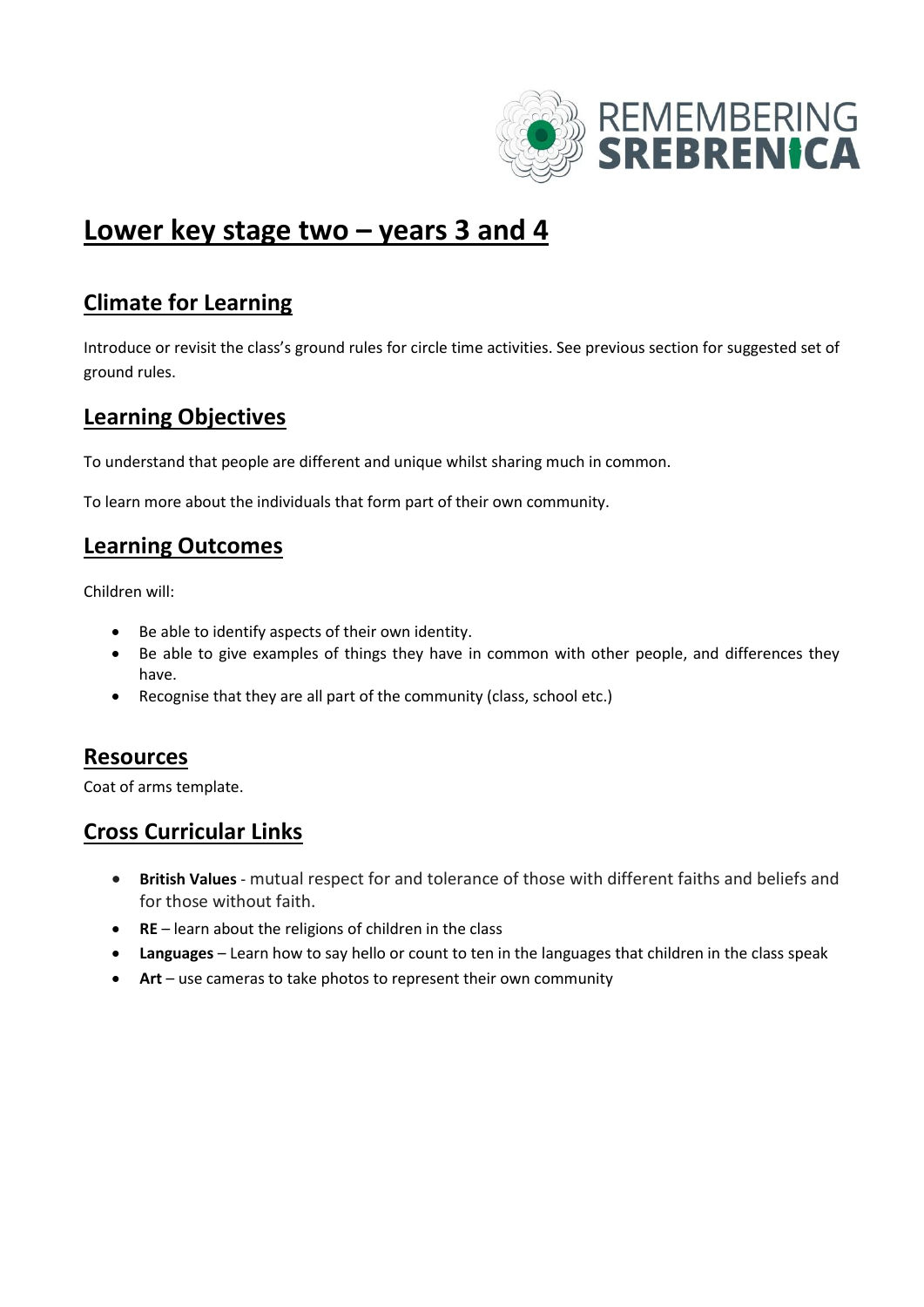

# **Lower key stage two – years 3 and 4**

### **Climate for Learning**

Introduce or revisit the class's ground rules for circle time activities. See previous section for suggested set of ground rules.

#### **Learning Objectives**

To understand that people are different and unique whilst sharing much in common.

To learn more about the individuals that form part of their own community.

#### **Learning Outcomes**

Children will:

- Be able to identify aspects of their own identity.
- Be able to give examples of things they have in common with other people, and differences they have.
- Recognise that they are all part of the community (class, school etc.)

#### **Resources**

Coat of arms template.

### **Cross Curricular Links**

- **British Values** mutual respect for and tolerance of those with different faiths and beliefs and for those without faith.
- **RE** learn about the religions of children in the class
- **Languages** Learn how to say hello or count to ten in the languages that children in the class speak
- **Art** use cameras to take photos to represent their own community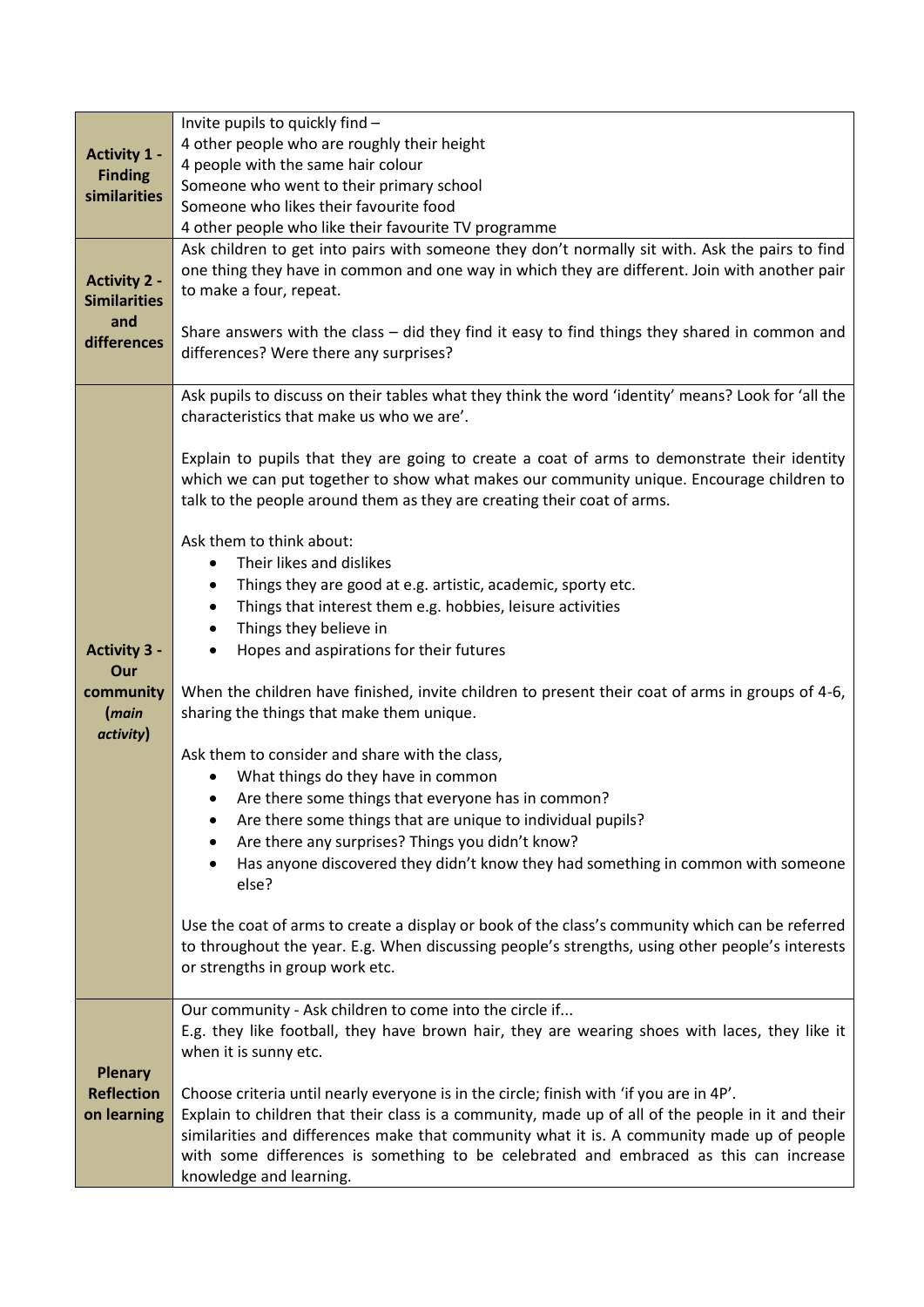|                            | Invite pupils to quickly find -                                                                                                                                                                 |
|----------------------------|-------------------------------------------------------------------------------------------------------------------------------------------------------------------------------------------------|
| <b>Activity 1 -</b>        | 4 other people who are roughly their height                                                                                                                                                     |
| <b>Finding</b>             | 4 people with the same hair colour                                                                                                                                                              |
| similarities               | Someone who went to their primary school<br>Someone who likes their favourite food                                                                                                              |
|                            | 4 other people who like their favourite TV programme                                                                                                                                            |
|                            | Ask children to get into pairs with someone they don't normally sit with. Ask the pairs to find                                                                                                 |
|                            | one thing they have in common and one way in which they are different. Join with another pair                                                                                                   |
| <b>Activity 2 -</b>        | to make a four, repeat.                                                                                                                                                                         |
| <b>Similarities</b><br>and |                                                                                                                                                                                                 |
| differences                | Share answers with the class - did they find it easy to find things they shared in common and                                                                                                   |
|                            | differences? Were there any surprises?                                                                                                                                                          |
|                            |                                                                                                                                                                                                 |
|                            | Ask pupils to discuss on their tables what they think the word 'identity' means? Look for 'all the<br>characteristics that make us who we are'.                                                 |
|                            |                                                                                                                                                                                                 |
|                            | Explain to pupils that they are going to create a coat of arms to demonstrate their identity                                                                                                    |
|                            | which we can put together to show what makes our community unique. Encourage children to                                                                                                        |
|                            | talk to the people around them as they are creating their coat of arms.                                                                                                                         |
|                            |                                                                                                                                                                                                 |
|                            | Ask them to think about:                                                                                                                                                                        |
|                            | Their likes and dislikes<br>$\bullet$                                                                                                                                                           |
|                            | Things they are good at e.g. artistic, academic, sporty etc.                                                                                                                                    |
|                            | Things that interest them e.g. hobbies, leisure activities                                                                                                                                      |
| <b>Activity 3 -</b>        | Things they believe in<br>Hopes and aspirations for their futures                                                                                                                               |
| Our                        |                                                                                                                                                                                                 |
| community                  | When the children have finished, invite children to present their coat of arms in groups of 4-6,                                                                                                |
| (main                      | sharing the things that make them unique.                                                                                                                                                       |
| activity)                  |                                                                                                                                                                                                 |
|                            | Ask them to consider and share with the class,                                                                                                                                                  |
|                            | What things do they have in common                                                                                                                                                              |
|                            | Are there some things that everyone has in common?<br>$\bullet$                                                                                                                                 |
|                            | Are there some things that are unique to individual pupils?<br>Are there any surprises? Things you didn't know?                                                                                 |
|                            | Has anyone discovered they didn't know they had something in common with someone<br>$\bullet$                                                                                                   |
|                            | else?                                                                                                                                                                                           |
|                            |                                                                                                                                                                                                 |
|                            | Use the coat of arms to create a display or book of the class's community which can be referred                                                                                                 |
|                            | to throughout the year. E.g. When discussing people's strengths, using other people's interests                                                                                                 |
|                            | or strengths in group work etc.                                                                                                                                                                 |
|                            | Our community - Ask children to come into the circle if                                                                                                                                         |
|                            | E.g. they like football, they have brown hair, they are wearing shoes with laces, they like it                                                                                                  |
|                            | when it is sunny etc.                                                                                                                                                                           |
| <b>Plenary</b>             |                                                                                                                                                                                                 |
| <b>Reflection</b>          | Choose criteria until nearly everyone is in the circle; finish with 'if you are in 4P'.                                                                                                         |
| on learning                | Explain to children that their class is a community, made up of all of the people in it and their<br>similarities and differences make that community what it is. A community made up of people |
|                            | with some differences is something to be celebrated and embraced as this can increase                                                                                                           |
|                            | knowledge and learning.                                                                                                                                                                         |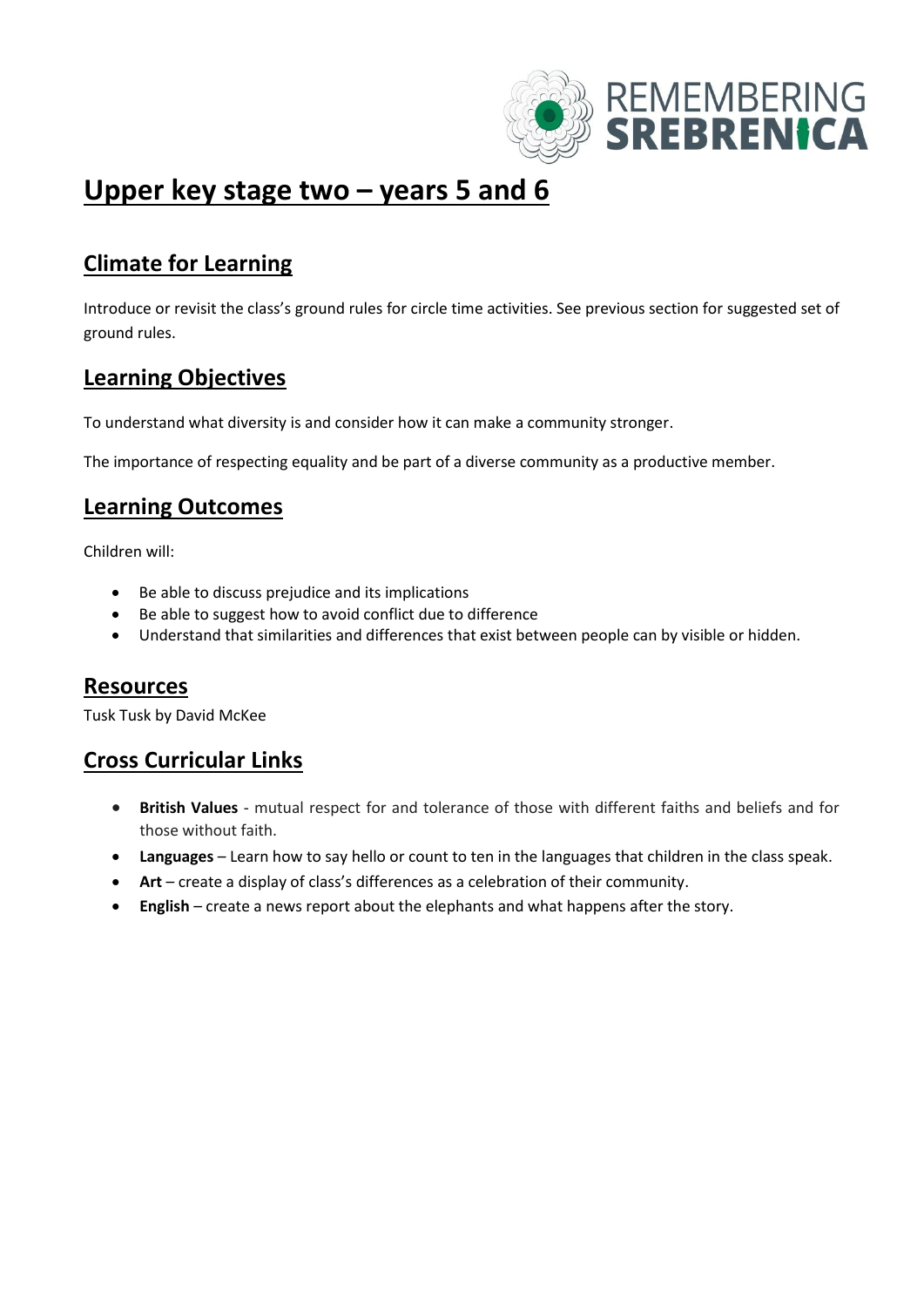

# **Upper key stage two – years 5 and 6**

## **Climate for Learning**

Introduce or revisit the class's ground rules for circle time activities. See previous section for suggested set of ground rules.

## **Learning Objectives**

To understand what diversity is and consider how it can make a community stronger.

The importance of respecting equality and be part of a diverse community as a productive member.

#### **Learning Outcomes**

Children will:

- Be able to discuss prejudice and its implications
- Be able to suggest how to avoid conflict due to difference
- Understand that similarities and differences that exist between people can by visible or hidden.

#### **Resources**

Tusk Tusk by David McKee

#### **Cross Curricular Links**

- **British Values** mutual respect for and tolerance of those with different faiths and beliefs and for those without faith.
- **Languages** Learn how to say hello or count to ten in the languages that children in the class speak.
- **Art** create a display of class's differences as a celebration of their community.
- **English** create a news report about the elephants and what happens after the story.